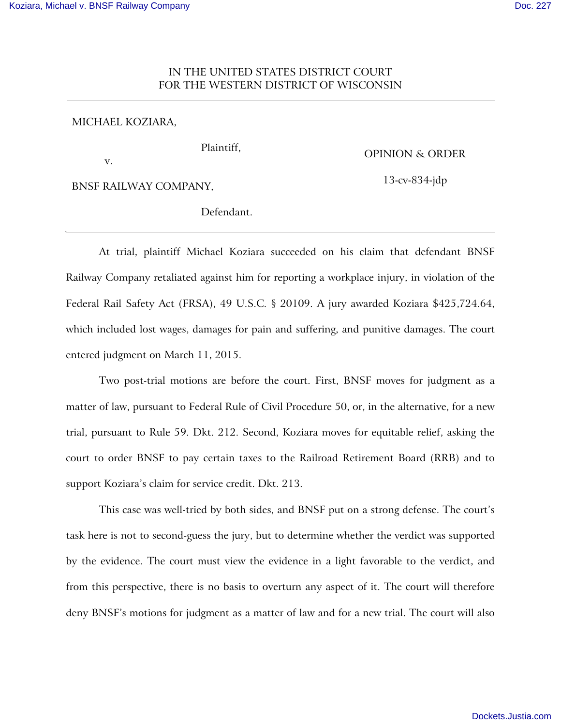# IN THE UNITED STATES DISTRICT COURT FOR THE WESTERN DISTRICT OF WISCONSIN

## MICHAEL KOZIARA,

v.

# OPINION & ORDER

13-cv-834-jdp

BNSF RAILWAY COMPANY,

Defendant.

Plaintiff,

At trial, plaintiff Michael Koziara succeeded on his claim that defendant BNSF Railway Company retaliated against him for reporting a workplace injury, in violation of the Federal Rail Safety Act (FRSA), 49 U.S.C. § 20109. A jury awarded Koziara \$425,724.64, which included lost wages, damages for pain and suffering, and punitive damages. The court entered judgment on March 11, 2015.

Two post-trial motions are before the court. First, BNSF moves for judgment as a matter of law, pursuant to Federal Rule of Civil Procedure 50, or, in the alternative, for a new trial, pursuant to Rule 59. Dkt. 212. Second, Koziara moves for equitable relief, asking the court to order BNSF to pay certain taxes to the Railroad Retirement Board (RRB) and to support Koziara's claim for service credit. Dkt. 213.

This case was well-tried by both sides, and BNSF put on a strong defense. The court's task here is not to second-guess the jury, but to determine whether the verdict was supported by the evidence. The court must view the evidence in a light favorable to the verdict, and from this perspective, there is no basis to overturn any aspect of it. The court will therefore deny BNSF's motions for judgment as a matter of law and for a new trial. The court will also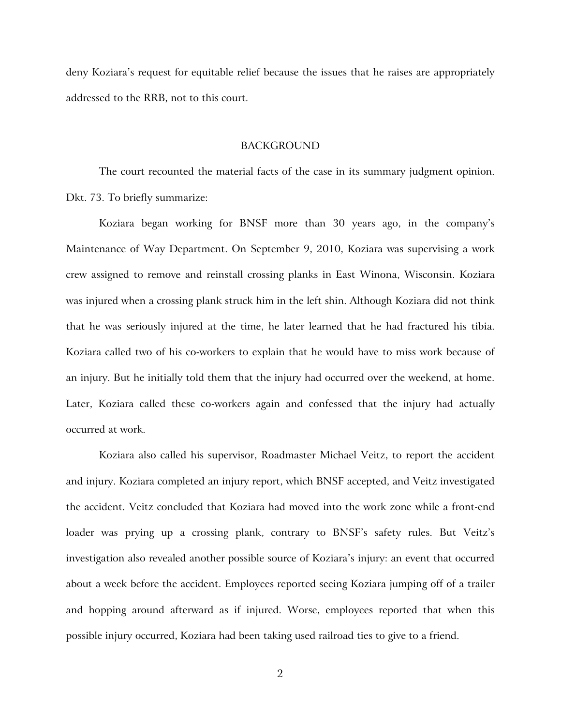deny Koziara's request for equitable relief because the issues that he raises are appropriately addressed to the RRB, not to this court.

## BACKGROUND

The court recounted the material facts of the case in its summary judgment opinion. Dkt. 73. To briefly summarize:

Koziara began working for BNSF more than 30 years ago, in the company's Maintenance of Way Department. On September 9, 2010, Koziara was supervising a work crew assigned to remove and reinstall crossing planks in East Winona, Wisconsin. Koziara was injured when a crossing plank struck him in the left shin. Although Koziara did not think that he was seriously injured at the time, he later learned that he had fractured his tibia. Koziara called two of his co-workers to explain that he would have to miss work because of an injury. But he initially told them that the injury had occurred over the weekend, at home. Later, Koziara called these co-workers again and confessed that the injury had actually occurred at work.

Koziara also called his supervisor, Roadmaster Michael Veitz, to report the accident and injury. Koziara completed an injury report, which BNSF accepted, and Veitz investigated the accident. Veitz concluded that Koziara had moved into the work zone while a front-end loader was prying up a crossing plank, contrary to BNSF's safety rules. But Veitz's investigation also revealed another possible source of Koziara's injury: an event that occurred about a week before the accident. Employees reported seeing Koziara jumping off of a trailer and hopping around afterward as if injured. Worse, employees reported that when this possible injury occurred, Koziara had been taking used railroad ties to give to a friend.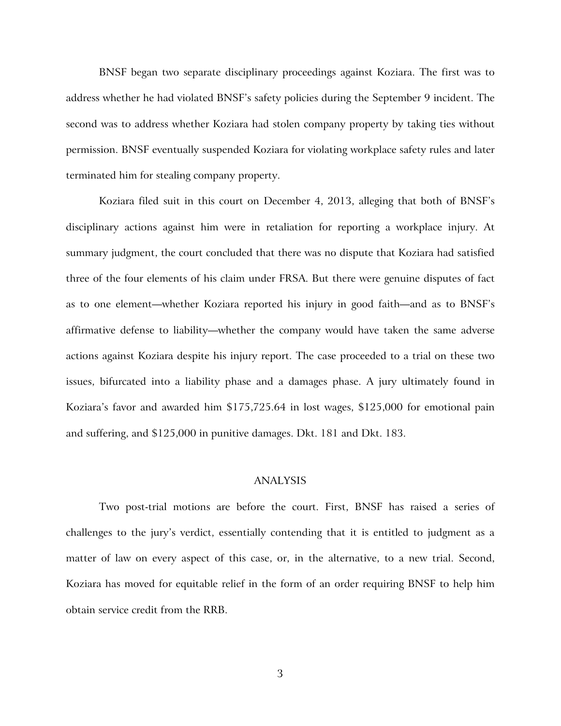BNSF began two separate disciplinary proceedings against Koziara. The first was to address whether he had violated BNSF's safety policies during the September 9 incident. The second was to address whether Koziara had stolen company property by taking ties without permission. BNSF eventually suspended Koziara for violating workplace safety rules and later terminated him for stealing company property.

Koziara filed suit in this court on December 4, 2013, alleging that both of BNSF's disciplinary actions against him were in retaliation for reporting a workplace injury. At summary judgment, the court concluded that there was no dispute that Koziara had satisfied three of the four elements of his claim under FRSA. But there were genuine disputes of fact as to one element—whether Koziara reported his injury in good faith—and as to BNSF's affirmative defense to liability—whether the company would have taken the same adverse actions against Koziara despite his injury report. The case proceeded to a trial on these two issues, bifurcated into a liability phase and a damages phase. A jury ultimately found in Koziara's favor and awarded him \$175,725.64 in lost wages, \$125,000 for emotional pain and suffering, and \$125,000 in punitive damages. Dkt. 181 and Dkt. 183.

# ANALYSIS

Two post-trial motions are before the court. First, BNSF has raised a series of challenges to the jury's verdict, essentially contending that it is entitled to judgment as a matter of law on every aspect of this case, or, in the alternative, to a new trial. Second, Koziara has moved for equitable relief in the form of an order requiring BNSF to help him obtain service credit from the RRB.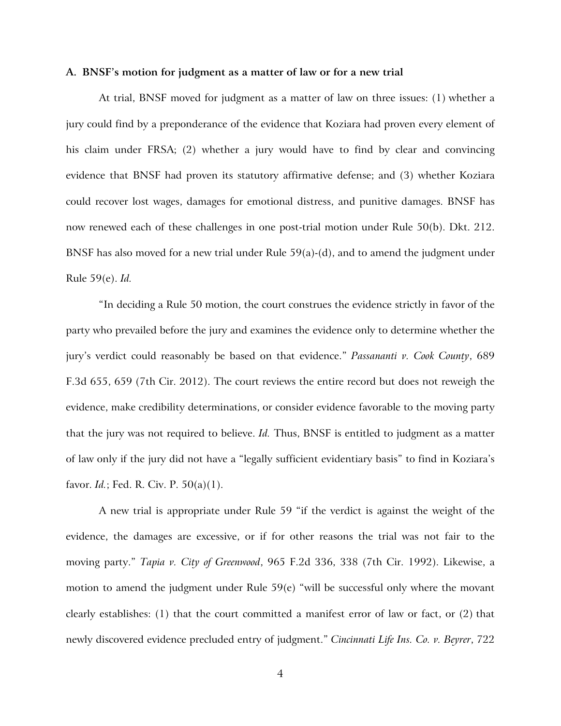#### **A. BNSF's motion for judgment as a matter of law or for a new trial**

At trial, BNSF moved for judgment as a matter of law on three issues: (1) whether a jury could find by a preponderance of the evidence that Koziara had proven every element of his claim under FRSA; (2) whether a jury would have to find by clear and convincing evidence that BNSF had proven its statutory affirmative defense; and (3) whether Koziara could recover lost wages, damages for emotional distress, and punitive damages. BNSF has now renewed each of these challenges in one post-trial motion under Rule 50(b). Dkt. 212. BNSF has also moved for a new trial under Rule 59(a)-(d), and to amend the judgment under Rule 59(e). *Id.*

"In deciding a Rule 50 motion, the court construes the evidence strictly in favor of the party who prevailed before the jury and examines the evidence only to determine whether the jury's verdict could reasonably be based on that evidence." *Passananti v. Cook County*, 689 F.3d 655, 659 (7th Cir. 2012). The court reviews the entire record but does not reweigh the evidence, make credibility determinations, or consider evidence favorable to the moving party that the jury was not required to believe. *Id.* Thus, BNSF is entitled to judgment as a matter of law only if the jury did not have a "legally sufficient evidentiary basis" to find in Koziara's favor. *Id.*; Fed. R. Civ. P. 50(a)(1).

A new trial is appropriate under Rule 59 "if the verdict is against the weight of the evidence, the damages are excessive, or if for other reasons the trial was not fair to the moving party." *Tapia v. City of Greenwood*, 965 F.2d 336, 338 (7th Cir. 1992). Likewise, a motion to amend the judgment under Rule 59(e) "will be successful only where the movant clearly establishes: (1) that the court committed a manifest error of law or fact, or  $(2)$  that newly discovered evidence precluded entry of judgment." *Cincinnati Life Ins. Co. v. Beyrer*, 722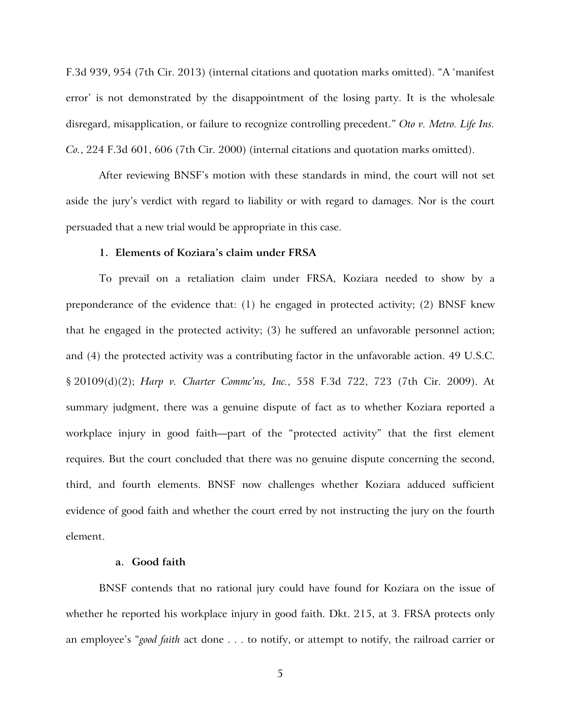F.3d 939, 954 (7th Cir. 2013) (internal citations and quotation marks omitted). "A 'manifest error' is not demonstrated by the disappointment of the losing party. It is the wholesale disregard, misapplication, or failure to recognize controlling precedent." *Oto v. Metro. Life Ins. Co.*, 224 F.3d 601, 606 (7th Cir. 2000) (internal citations and quotation marks omitted).

After reviewing BNSF's motion with these standards in mind, the court will not set aside the jury's verdict with regard to liability or with regard to damages. Nor is the court persuaded that a new trial would be appropriate in this case.

## **1. Elements of Koziara's claim under FRSA**

To prevail on a retaliation claim under FRSA, Koziara needed to show by a preponderance of the evidence that:  $(1)$  he engaged in protected activity;  $(2)$  BNSF knew that he engaged in the protected activity; (3) he suffered an unfavorable personnel action; and (4) the protected activity was a contributing factor in the unfavorable action. 49 U.S.C. § 20109(d)(2); *Harp v. Charter Commc'ns, Inc.*, 558 F.3d 722, 723 (7th Cir. 2009). At summary judgment, there was a genuine dispute of fact as to whether Koziara reported a workplace injury in good faith—part of the "protected activity" that the first element requires. But the court concluded that there was no genuine dispute concerning the second, third, and fourth elements. BNSF now challenges whether Koziara adduced sufficient evidence of good faith and whether the court erred by not instructing the jury on the fourth element.

## **a. Good faith**

BNSF contends that no rational jury could have found for Koziara on the issue of whether he reported his workplace injury in good faith. Dkt. 215, at 3. FRSA protects only an employee's "*good faith* act done . . . to notify, or attempt to notify, the railroad carrier or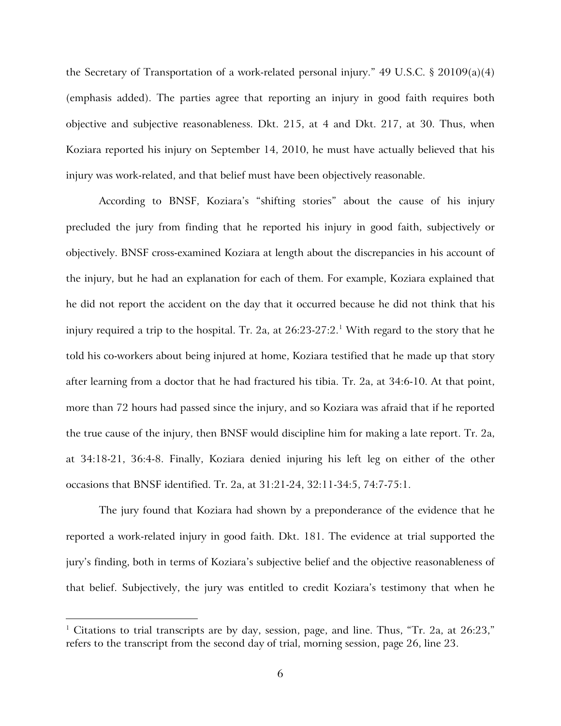the Secretary of Transportation of a work-related personal injury." 49 U.S.C. § 20109(a)(4) (emphasis added). The parties agree that reporting an injury in good faith requires both objective and subjective reasonableness. Dkt. 215, at 4 and Dkt. 217, at 30. Thus, when Koziara reported his injury on September 14, 2010, he must have actually believed that his injury was work-related, and that belief must have been objectively reasonable.

According to BNSF, Koziara's "shifting stories" about the cause of his injury precluded the jury from finding that he reported his injury in good faith, subjectively or objectively. BNSF cross-examined Koziara at length about the discrepancies in his account of the injury, but he had an explanation for each of them. For example, Koziara explained that he did not report the accident on the day that it occurred because he did not think that his injury required a trip to the hospital. Tr. 2a, at  $26:23$ -27:2. $^1$  $^1$  With regard to the story that he told his co-workers about being injured at home, Koziara testified that he made up that story after learning from a doctor that he had fractured his tibia. Tr. 2a, at 34:6-10. At that point, more than 72 hours had passed since the injury, and so Koziara was afraid that if he reported the true cause of the injury, then BNSF would discipline him for making a late report. Tr. 2a, at 34:18-21, 36:4-8. Finally, Koziara denied injuring his left leg on either of the other occasions that BNSF identified. Tr. 2a, at 31:21-24, 32:11-34:5, 74:7-75:1.

The jury found that Koziara had shown by a preponderance of the evidence that he reported a work-related injury in good faith. Dkt. 181. The evidence at trial supported the jury's finding, both in terms of Koziara's subjective belief and the objective reasonableness of that belief. Subjectively, the jury was entitled to credit Koziara's testimony that when he

<u>.</u>

<span id="page-5-0"></span><sup>&</sup>lt;sup>1</sup> Citations to trial transcripts are by day, session, page, and line. Thus, "Tr. 2a, at 26:23," refers to the transcript from the second day of trial, morning session, page 26, line 23.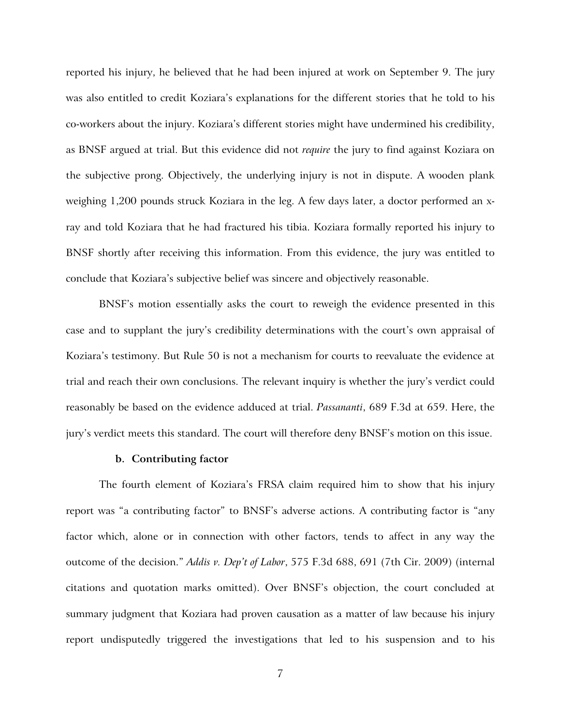reported his injury, he believed that he had been injured at work on September 9. The jury was also entitled to credit Koziara's explanations for the different stories that he told to his co-workers about the injury. Koziara's different stories might have undermined his credibility, as BNSF argued at trial. But this evidence did not *require* the jury to find against Koziara on the subjective prong. Objectively, the underlying injury is not in dispute. A wooden plank weighing 1,200 pounds struck Koziara in the leg. A few days later, a doctor performed an xray and told Koziara that he had fractured his tibia. Koziara formally reported his injury to BNSF shortly after receiving this information. From this evidence, the jury was entitled to conclude that Koziara's subjective belief was sincere and objectively reasonable.

BNSF's motion essentially asks the court to reweigh the evidence presented in this case and to supplant the jury's credibility determinations with the court's own appraisal of Koziara's testimony. But Rule 50 is not a mechanism for courts to reevaluate the evidence at trial and reach their own conclusions. The relevant inquiry is whether the jury's verdict could reasonably be based on the evidence adduced at trial. *Passananti*, 689 F.3d at 659. Here, the jury's verdict meets this standard. The court will therefore deny BNSF's motion on this issue.

#### **b. Contributing factor**

The fourth element of Koziara's FRSA claim required him to show that his injury report was "a contributing factor" to BNSF's adverse actions. A contributing factor is "any factor which, alone or in connection with other factors, tends to affect in any way the outcome of the decision." *Addis v. Dep't of Labor*, 575 F.3d 688, 691 (7th Cir. 2009) (internal citations and quotation marks omitted). Over BNSF's objection, the court concluded at summary judgment that Koziara had proven causation as a matter of law because his injury report undisputedly triggered the investigations that led to his suspension and to his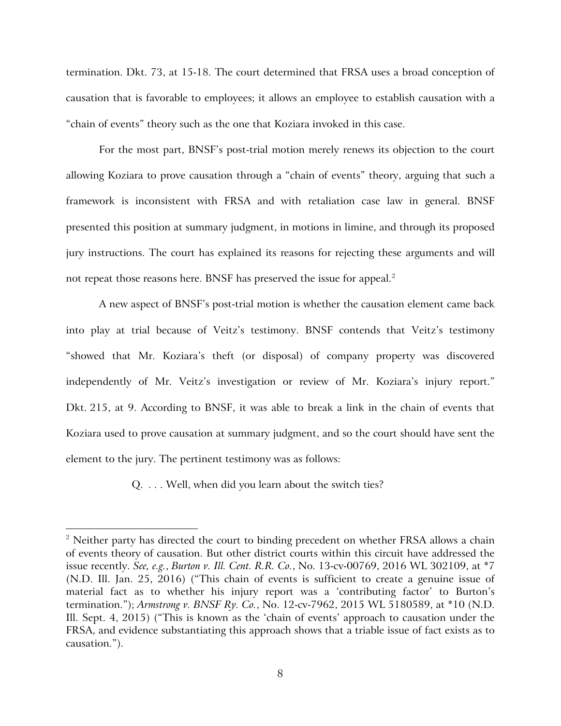termination. Dkt. 73, at 15-18. The court determined that FRSA uses a broad conception of causation that is favorable to employees; it allows an employee to establish causation with a "chain of events" theory such as the one that Koziara invoked in this case.

For the most part, BNSF's post-trial motion merely renews its objection to the court allowing Koziara to prove causation through a "chain of events" theory, arguing that such a framework is inconsistent with FRSA and with retaliation case law in general. BNSF presented this position at summary judgment, in motions in limine, and through its proposed jury instructions. The court has explained its reasons for rejecting these arguments and will not repeat those reasons here. BNSF has preserved the issue for appeal.<sup>[2](#page-7-0)</sup>

A new aspect of BNSF's post-trial motion is whether the causation element came back into play at trial because of Veitz's testimony. BNSF contends that Veitz's testimony "showed that Mr. Koziara's theft (or disposal) of company property was discovered independently of Mr. Veitz's investigation or review of Mr. Koziara's injury report." Dkt. 215, at 9. According to BNSF, it was able to break a link in the chain of events that Koziara used to prove causation at summary judgment, and so the court should have sent the element to the jury. The pertinent testimony was as follows:

Q. . . . Well, when did you learn about the switch ties?

 $\overline{a}$ 

<span id="page-7-0"></span> $2$  Neither party has directed the court to binding precedent on whether FRSA allows a chain of events theory of causation. But other district courts within this circuit have addressed the issue recently. *See, e.g.*, *Burton v. Ill. Cent. R.R. Co.*, No. 13-cv-00769, 2016 WL 302109, at \*7 (N.D. Ill. Jan. 25, 2016) ("This chain of events is sufficient to create a genuine issue of material fact as to whether his injury report was a 'contributing factor' to Burton's termination."); *Armstrong v. BNSF Ry. Co.*, No. 12-cv-7962, 2015 WL 5180589, at \*10 (N.D. Ill. Sept. 4, 2015) ("This is known as the 'chain of events' approach to causation under the FRSA, and evidence substantiating this approach shows that a triable issue of fact exists as to causation.").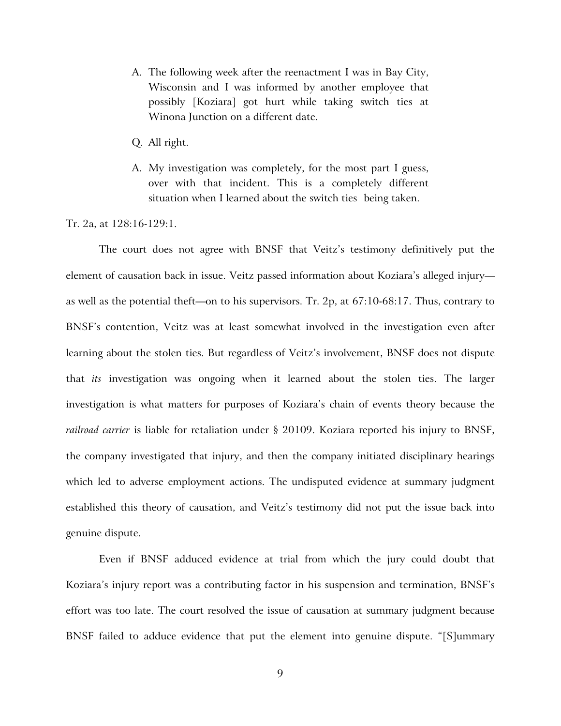- A. The following week after the reenactment I was in Bay City, Wisconsin and I was informed by another employee that possibly [Koziara] got hurt while taking switch ties at Winona Junction on a different date.
- Q. All right.
- A. My investigation was completely, for the most part I guess, over with that incident. This is a completely different situation when I learned about the switch ties being taken.

Tr. 2a, at 128:16-129:1.

The court does not agree with BNSF that Veitz's testimony definitively put the element of causation back in issue. Veitz passed information about Koziara's alleged injury as well as the potential theft—on to his supervisors. Tr. 2p, at 67:10-68:17. Thus, contrary to BNSF's contention, Veitz was at least somewhat involved in the investigation even after learning about the stolen ties. But regardless of Veitz's involvement, BNSF does not dispute that *its* investigation was ongoing when it learned about the stolen ties. The larger investigation is what matters for purposes of Koziara's chain of events theory because the *railroad carrier* is liable for retaliation under § 20109. Koziara reported his injury to BNSF, the company investigated that injury, and then the company initiated disciplinary hearings which led to adverse employment actions. The undisputed evidence at summary judgment established this theory of causation, and Veitz's testimony did not put the issue back into genuine dispute.

Even if BNSF adduced evidence at trial from which the jury could doubt that Koziara's injury report was a contributing factor in his suspension and termination, BNSF's effort was too late. The court resolved the issue of causation at summary judgment because BNSF failed to adduce evidence that put the element into genuine dispute. "[S]ummary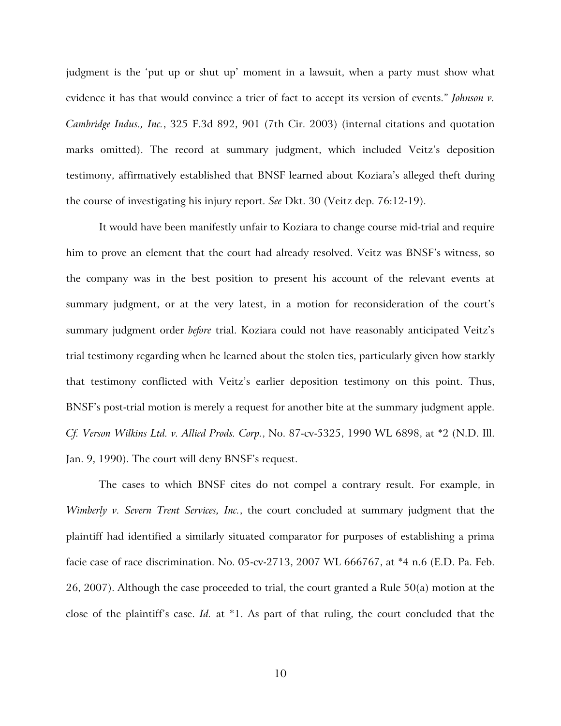judgment is the 'put up or shut up' moment in a lawsuit, when a party must show what evidence it has that would convince a trier of fact to accept its version of events." *Johnson v. Cambridge Indus., Inc.*, 325 F.3d 892, 901 (7th Cir. 2003) (internal citations and quotation marks omitted). The record at summary judgment, which included Veitz's deposition testimony, affirmatively established that BNSF learned about Koziara's alleged theft during the course of investigating his injury report. *See* Dkt. 30 (Veitz dep. 76:12-19).

It would have been manifestly unfair to Koziara to change course mid-trial and require him to prove an element that the court had already resolved. Veitz was BNSF's witness, so the company was in the best position to present his account of the relevant events at summary judgment, or at the very latest, in a motion for reconsideration of the court's summary judgment order *before* trial. Koziara could not have reasonably anticipated Veitz's trial testimony regarding when he learned about the stolen ties, particularly given how starkly that testimony conflicted with Veitz's earlier deposition testimony on this point. Thus, BNSF's post-trial motion is merely a request for another bite at the summary judgment apple. *Cf. Verson Wilkins Ltd. v. Allied Prods. Corp.*, No. 87-cv-5325, 1990 WL 6898, at \*2 (N.D. Ill. Jan. 9, 1990). The court will deny BNSF's request.

The cases to which BNSF cites do not compel a contrary result. For example, in *Wimberly v. Severn Trent Services, Inc.*, the court concluded at summary judgment that the plaintiff had identified a similarly situated comparator for purposes of establishing a prima facie case of race discrimination. No. 05-cv-2713, 2007 WL 666767, at \*4 n.6 (E.D. Pa. Feb. 26, 2007). Although the case proceeded to trial, the court granted a Rule 50(a) motion at the close of the plaintiff's case. *Id.* at \*1. As part of that ruling, the court concluded that the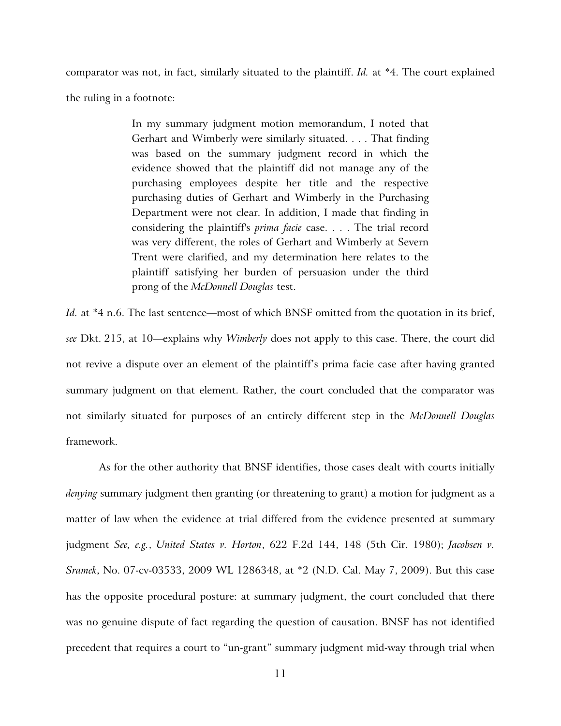comparator was not, in fact, similarly situated to the plaintiff. *Id.* at \*4. The court explained the ruling in a footnote:

> In my summary judgment motion memorandum, I noted that Gerhart and Wimberly were similarly situated. . . . That finding was based on the summary judgment record in which the evidence showed that the plaintiff did not manage any of the purchasing employees despite her title and the respective purchasing duties of Gerhart and Wimberly in the Purchasing Department were not clear. In addition, I made that finding in considering the plaintiff's *prima facie* case. . . . The trial record was very different, the roles of Gerhart and Wimberly at Severn Trent were clarified, and my determination here relates to the plaintiff satisfying her burden of persuasion under the third prong of the *McDonnell Douglas* test.

*Id.* at \*4 n.6. The last sentence—most of which BNSF omitted from the quotation in its brief, *see* Dkt. 215, at 10—explains why *Wimberly* does not apply to this case. There, the court did not revive a dispute over an element of the plaintiff's prima facie case after having granted summary judgment on that element. Rather, the court concluded that the comparator was not similarly situated for purposes of an entirely different step in the *McDonnell Douglas* framework.

As for the other authority that BNSF identifies, those cases dealt with courts initially *denying* summary judgment then granting (or threatening to grant) a motion for judgment as a matter of law when the evidence at trial differed from the evidence presented at summary judgment *See, e.g.*, *United States v. Horton*, 622 F.2d 144, 148 (5th Cir. 1980); *Jacobsen v. Sramek*, No. 07-cv-03533, 2009 WL 1286348, at \*2 (N.D. Cal. May 7, 2009). But this case has the opposite procedural posture: at summary judgment, the court concluded that there was no genuine dispute of fact regarding the question of causation. BNSF has not identified precedent that requires a court to "un-grant" summary judgment mid-way through trial when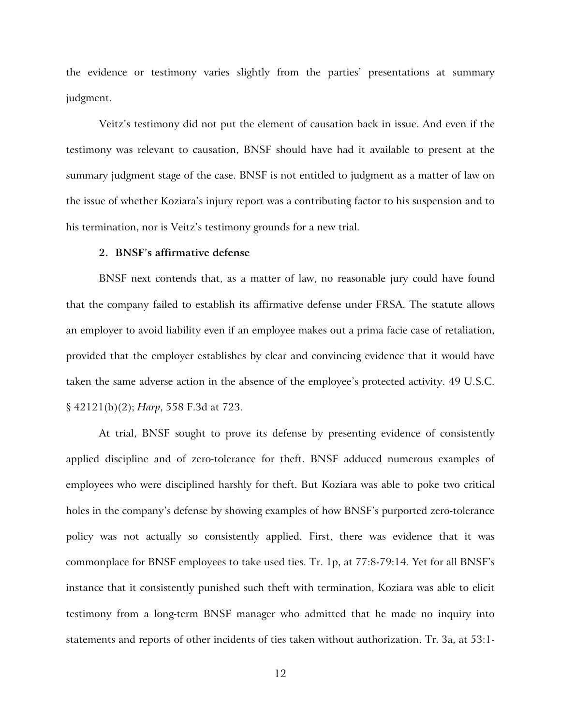the evidence or testimony varies slightly from the parties' presentations at summary judgment.

Veitz's testimony did not put the element of causation back in issue. And even if the testimony was relevant to causation, BNSF should have had it available to present at the summary judgment stage of the case. BNSF is not entitled to judgment as a matter of law on the issue of whether Koziara's injury report was a contributing factor to his suspension and to his termination, nor is Veitz's testimony grounds for a new trial.

## **2. BNSF's affirmative defense**

BNSF next contends that, as a matter of law, no reasonable jury could have found that the company failed to establish its affirmative defense under FRSA. The statute allows an employer to avoid liability even if an employee makes out a prima facie case of retaliation, provided that the employer establishes by clear and convincing evidence that it would have taken the same adverse action in the absence of the employee's protected activity. 49 U.S.C. § 42121(b)(2); *Harp*, 558 F.3d at 723.

At trial, BNSF sought to prove its defense by presenting evidence of consistently applied discipline and of zero-tolerance for theft. BNSF adduced numerous examples of employees who were disciplined harshly for theft. But Koziara was able to poke two critical holes in the company's defense by showing examples of how BNSF's purported zero-tolerance policy was not actually so consistently applied. First, there was evidence that it was commonplace for BNSF employees to take used ties. Tr. 1p, at 77:8-79:14. Yet for all BNSF's instance that it consistently punished such theft with termination, Koziara was able to elicit testimony from a long-term BNSF manager who admitted that he made no inquiry into statements and reports of other incidents of ties taken without authorization. Tr. 3a, at 53:1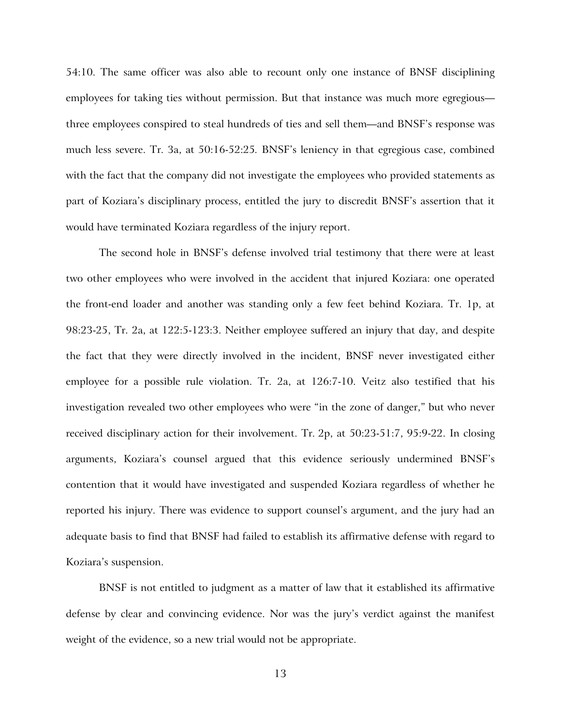54:10. The same officer was also able to recount only one instance of BNSF disciplining employees for taking ties without permission. But that instance was much more egregious three employees conspired to steal hundreds of ties and sell them—and BNSF's response was much less severe. Tr. 3a, at 50:16-52:25*.* BNSF's leniency in that egregious case, combined with the fact that the company did not investigate the employees who provided statements as part of Koziara's disciplinary process, entitled the jury to discredit BNSF's assertion that it would have terminated Koziara regardless of the injury report.

The second hole in BNSF's defense involved trial testimony that there were at least two other employees who were involved in the accident that injured Koziara: one operated the front-end loader and another was standing only a few feet behind Koziara. Tr. 1p, at 98:23-25, Tr. 2a, at 122:5-123:3. Neither employee suffered an injury that day, and despite the fact that they were directly involved in the incident, BNSF never investigated either employee for a possible rule violation. Tr. 2a, at 126:7-10. Veitz also testified that his investigation revealed two other employees who were "in the zone of danger," but who never received disciplinary action for their involvement. Tr. 2p, at 50:23-51:7, 95:9-22. In closing arguments, Koziara's counsel argued that this evidence seriously undermined BNSF's contention that it would have investigated and suspended Koziara regardless of whether he reported his injury. There was evidence to support counsel's argument, and the jury had an adequate basis to find that BNSF had failed to establish its affirmative defense with regard to Koziara's suspension.

BNSF is not entitled to judgment as a matter of law that it established its affirmative defense by clear and convincing evidence. Nor was the jury's verdict against the manifest weight of the evidence, so a new trial would not be appropriate.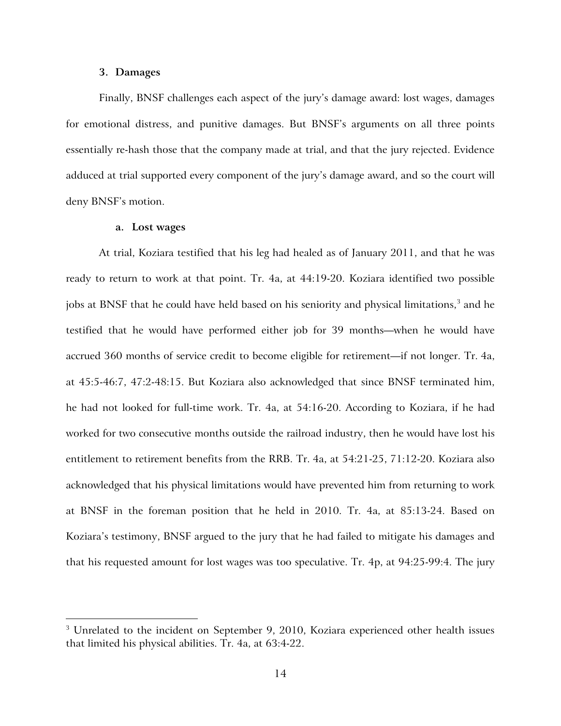#### **3. Damages**

Finally, BNSF challenges each aspect of the jury's damage award: lost wages, damages for emotional distress, and punitive damages. But BNSF's arguments on all three points essentially re-hash those that the company made at trial, and that the jury rejected. Evidence adduced at trial supported every component of the jury's damage award, and so the court will deny BNSF's motion.

#### **a. Lost wages**

<u>.</u>

At trial, Koziara testified that his leg had healed as of January 2011, and that he was ready to return to work at that point. Tr. 4a, at 44:19-20. Koziara identified two possible jobs at BNSF that he could have held based on his seniority and physical limitations, $^3$  $^3$  and he testified that he would have performed either job for 39 months—when he would have accrued 360 months of service credit to become eligible for retirement—if not longer. Tr. 4a, at 45:5-46:7, 47:2-48:15. But Koziara also acknowledged that since BNSF terminated him, he had not looked for full-time work. Tr. 4a, at 54:16-20. According to Koziara, if he had worked for two consecutive months outside the railroad industry, then he would have lost his entitlement to retirement benefits from the RRB. Tr. 4a, at 54:21-25, 71:12-20. Koziara also acknowledged that his physical limitations would have prevented him from returning to work at BNSF in the foreman position that he held in 2010. Tr. 4a, at 85:13-24. Based on Koziara's testimony, BNSF argued to the jury that he had failed to mitigate his damages and that his requested amount for lost wages was too speculative. Tr. 4p, at 94:25-99:4. The jury

<span id="page-13-0"></span> $3$  Unrelated to the incident on September 9, 2010, Koziara experienced other health issues that limited his physical abilities. Tr. 4a, at 63:4-22.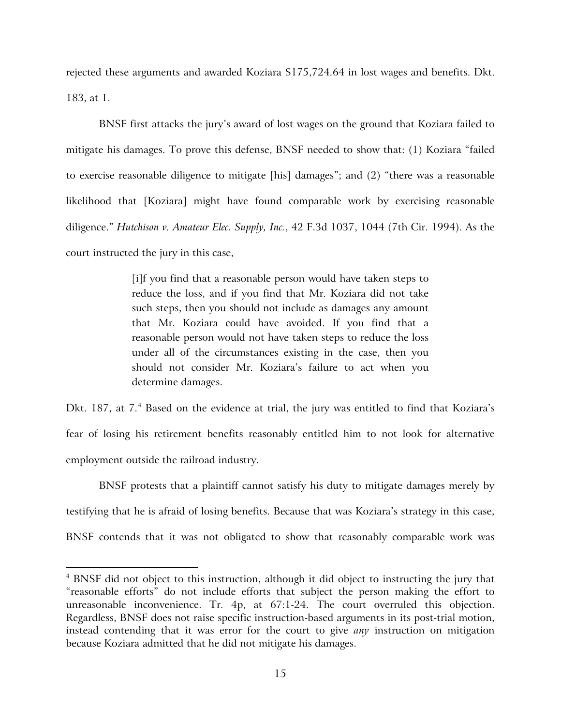rejected these arguments and awarded Koziara \$175,724.64 in lost wages and benefits. Dkt. 183, at 1.

BNSF first attacks the jury's award of lost wages on the ground that Koziara failed to mitigate his damages. To prove this defense, BNSF needed to show that: (1) Koziara "failed to exercise reasonable diligence to mitigate [his] damages"; and (2) "there was a reasonable likelihood that [Koziara] might have found comparable work by exercising reasonable diligence." *Hutchison v. Amateur Elec. Supply, Inc.*, 42 F.3d 1037, 1044 (7th Cir. 1994). As the court instructed the jury in this case,

> [i]f you find that a reasonable person would have taken steps to reduce the loss, and if you find that Mr. Koziara did not take such steps, then you should not include as damages any amount that Mr. Koziara could have avoided. If you find that a reasonable person would not have taken steps to reduce the loss under all of the circumstances existing in the case, then you should not consider Mr. Koziara's failure to act when you determine damages.

Dkt. 187, at 7.<sup>[4](#page-14-0)</sup> Based on the evidence at trial, the jury was entitled to find that Koziara's fear of losing his retirement benefits reasonably entitled him to not look for alternative employment outside the railroad industry.

BNSF protests that a plaintiff cannot satisfy his duty to mitigate damages merely by testifying that he is afraid of losing benefits. Because that was Koziara's strategy in this case, BNSF contends that it was not obligated to show that reasonably comparable work was

 $\overline{a}$ 

<span id="page-14-0"></span><sup>&</sup>lt;sup>4</sup> BNSF did not object to this instruction, although it did object to instructing the jury that "reasonable efforts" do not include efforts that subject the person making the effort to unreasonable inconvenience. Tr. 4p, at 67:1-24. The court overruled this objection. Regardless, BNSF does not raise specific instruction-based arguments in its post-trial motion, instead contending that it was error for the court to give *any* instruction on mitigation because Koziara admitted that he did not mitigate his damages.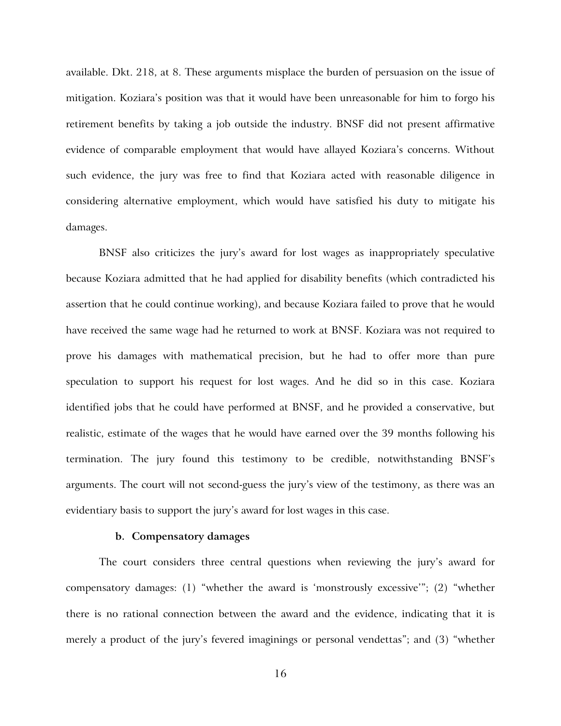available. Dkt. 218, at 8. These arguments misplace the burden of persuasion on the issue of mitigation. Koziara's position was that it would have been unreasonable for him to forgo his retirement benefits by taking a job outside the industry. BNSF did not present affirmative evidence of comparable employment that would have allayed Koziara's concerns. Without such evidence, the jury was free to find that Koziara acted with reasonable diligence in considering alternative employment, which would have satisfied his duty to mitigate his damages.

BNSF also criticizes the jury's award for lost wages as inappropriately speculative because Koziara admitted that he had applied for disability benefits (which contradicted his assertion that he could continue working), and because Koziara failed to prove that he would have received the same wage had he returned to work at BNSF. Koziara was not required to prove his damages with mathematical precision, but he had to offer more than pure speculation to support his request for lost wages. And he did so in this case. Koziara identified jobs that he could have performed at BNSF, and he provided a conservative, but realistic, estimate of the wages that he would have earned over the 39 months following his termination. The jury found this testimony to be credible, notwithstanding BNSF's arguments. The court will not second-guess the jury's view of the testimony, as there was an evidentiary basis to support the jury's award for lost wages in this case.

### **b. Compensatory damages**

The court considers three central questions when reviewing the jury's award for compensatory damages: (1) "whether the award is 'monstrously excessive'"; (2) "whether there is no rational connection between the award and the evidence, indicating that it is merely a product of the jury's fevered imaginings or personal vendettas"; and (3) "whether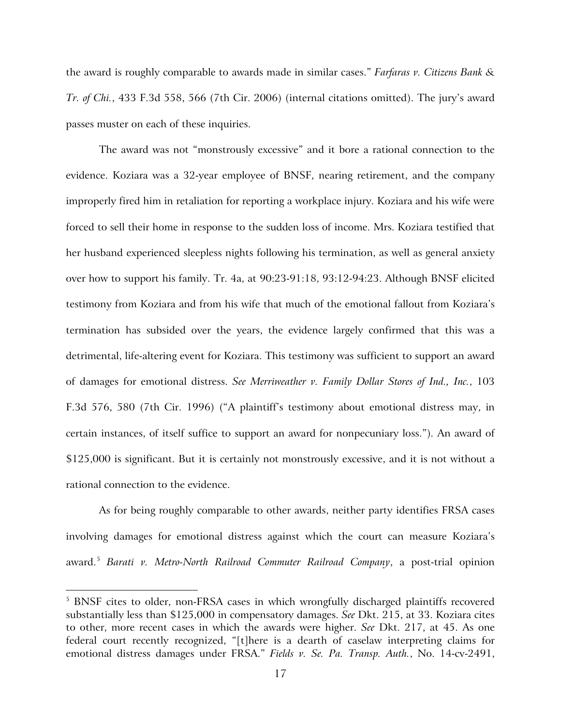the award is roughly comparable to awards made in similar cases." *Farfaras v. Citizens Bank & Tr. of Chi.*, 433 F.3d 558, 566 (7th Cir. 2006) (internal citations omitted). The jury's award passes muster on each of these inquiries.

The award was not "monstrously excessive" and it bore a rational connection to the evidence. Koziara was a 32-year employee of BNSF, nearing retirement, and the company improperly fired him in retaliation for reporting a workplace injury. Koziara and his wife were forced to sell their home in response to the sudden loss of income. Mrs. Koziara testified that her husband experienced sleepless nights following his termination, as well as general anxiety over how to support his family. Tr. 4a, at 90:23-91:18, 93:12-94:23. Although BNSF elicited testimony from Koziara and from his wife that much of the emotional fallout from Koziara's termination has subsided over the years, the evidence largely confirmed that this was a detrimental, life-altering event for Koziara. This testimony was sufficient to support an award of damages for emotional distress. *See Merriweather v. Family Dollar Stores of Ind., Inc.*, 103 F.3d 576, 580 (7th Cir. 1996) ("A plaintiff's testimony about emotional distress may, in certain instances, of itself suffice to support an award for nonpecuniary loss."). An award of \$125,000 is significant. But it is certainly not monstrously excessive, and it is not without a rational connection to the evidence.

As for being roughly comparable to other awards, neither party identifies FRSA cases involving damages for emotional distress against which the court can measure Koziara's award.[5](#page-16-0) *Barati v. Metro-North Railroad Commuter Railroad Company*, a post-trial opinion

 $\overline{a}$ 

<span id="page-16-0"></span><sup>&</sup>lt;sup>5</sup> BNSF cites to older, non-FRSA cases in which wrongfully discharged plaintiffs recovered substantially less than \$125,000 in compensatory damages. *See* Dkt. 215, at 33. Koziara cites to other, more recent cases in which the awards were higher. *See* Dkt. 217, at 45. As one federal court recently recognized, "[t]here is a dearth of caselaw interpreting claims for emotional distress damages under FRSA." *Fields v. Se. Pa. Transp. Auth.*, No. 14-cv-2491,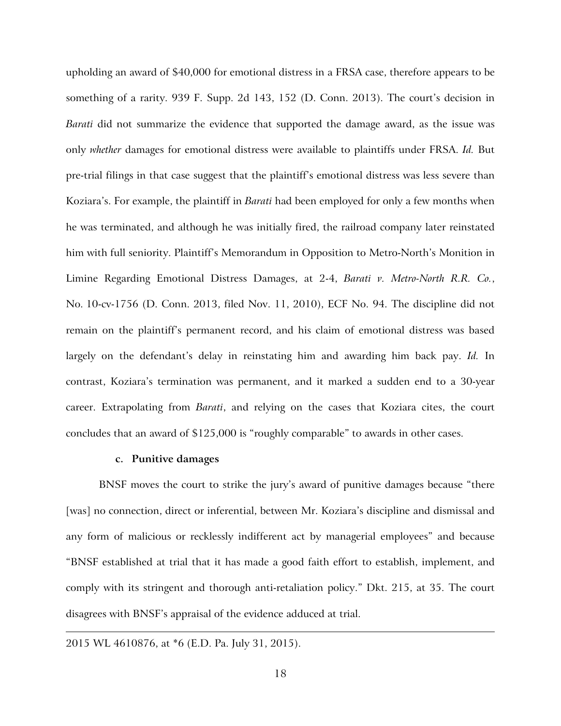upholding an award of \$40,000 for emotional distress in a FRSA case, therefore appears to be something of a rarity. 939 F. Supp. 2d 143, 152 (D. Conn. 2013). The court's decision in *Barati* did not summarize the evidence that supported the damage award, as the issue was only *whether* damages for emotional distress were available to plaintiffs under FRSA. *Id.* But pre-trial filings in that case suggest that the plaintiff's emotional distress was less severe than Koziara's. For example, the plaintiff in *Barati* had been employed for only a few months when he was terminated, and although he was initially fired, the railroad company later reinstated him with full seniority. Plaintiff's Memorandum in Opposition to Metro-North's Monition in Limine Regarding Emotional Distress Damages, at 2-4, *Barati v. Metro-North R.R. Co.*, No. 10-cv-1756 (D. Conn. 2013, filed Nov. 11, 2010), ECF No. 94. The discipline did not remain on the plaintiff's permanent record, and his claim of emotional distress was based largely on the defendant's delay in reinstating him and awarding him back pay. *Id.* In contrast, Koziara's termination was permanent, and it marked a sudden end to a 30-year career. Extrapolating from *Barati*, and relying on the cases that Koziara cites, the court concludes that an award of \$125,000 is "roughly comparable" to awards in other cases.

## **c. Punitive damages**

BNSF moves the court to strike the jury's award of punitive damages because "there [was] no connection, direct or inferential, between Mr. Koziara's discipline and dismissal and any form of malicious or recklessly indifferent act by managerial employees" and because "BNSF established at trial that it has made a good faith effort to establish, implement, and comply with its stringent and thorough anti-retaliation policy." Dkt. 215, at 35. The court disagrees with BNSF's appraisal of the evidence adduced at trial.

 $\overline{a}$ 

<sup>2015</sup> WL 4610876, at \*6 (E.D. Pa. July 31, 2015).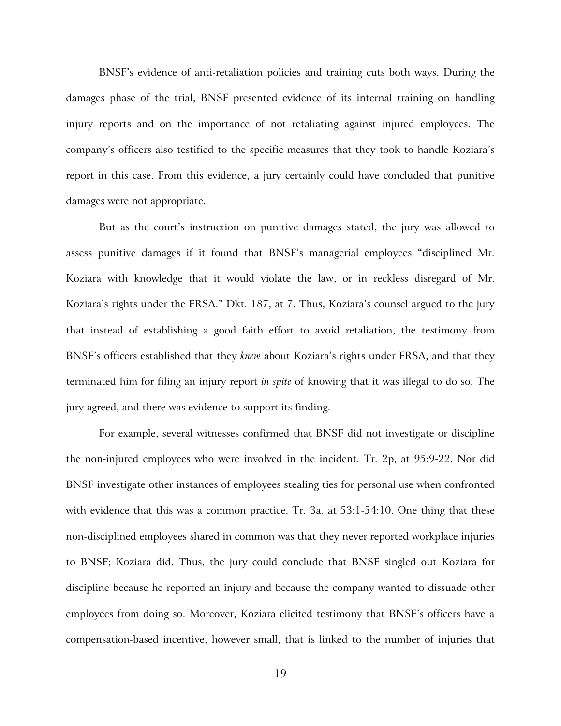BNSF's evidence of anti-retaliation policies and training cuts both ways. During the damages phase of the trial, BNSF presented evidence of its internal training on handling injury reports and on the importance of not retaliating against injured employees. The company's officers also testified to the specific measures that they took to handle Koziara's report in this case. From this evidence, a jury certainly could have concluded that punitive damages were not appropriate.

But as the court's instruction on punitive damages stated, the jury was allowed to assess punitive damages if it found that BNSF's managerial employees "disciplined Mr. Koziara with knowledge that it would violate the law, or in reckless disregard of Mr. Koziara's rights under the FRSA." Dkt. 187, at 7. Thus, Koziara's counsel argued to the jury that instead of establishing a good faith effort to avoid retaliation, the testimony from BNSF's officers established that they *knew* about Koziara's rights under FRSA, and that they terminated him for filing an injury report *in spite* of knowing that it was illegal to do so. The jury agreed, and there was evidence to support its finding.

For example, several witnesses confirmed that BNSF did not investigate or discipline the non-injured employees who were involved in the incident. Tr. 2p, at 95:9-22. Nor did BNSF investigate other instances of employees stealing ties for personal use when confronted with evidence that this was a common practice. Tr. 3a, at 53:1-54:10. One thing that these non-disciplined employees shared in common was that they never reported workplace injuries to BNSF; Koziara did. Thus, the jury could conclude that BNSF singled out Koziara for discipline because he reported an injury and because the company wanted to dissuade other employees from doing so. Moreover, Koziara elicited testimony that BNSF's officers have a compensation-based incentive, however small, that is linked to the number of injuries that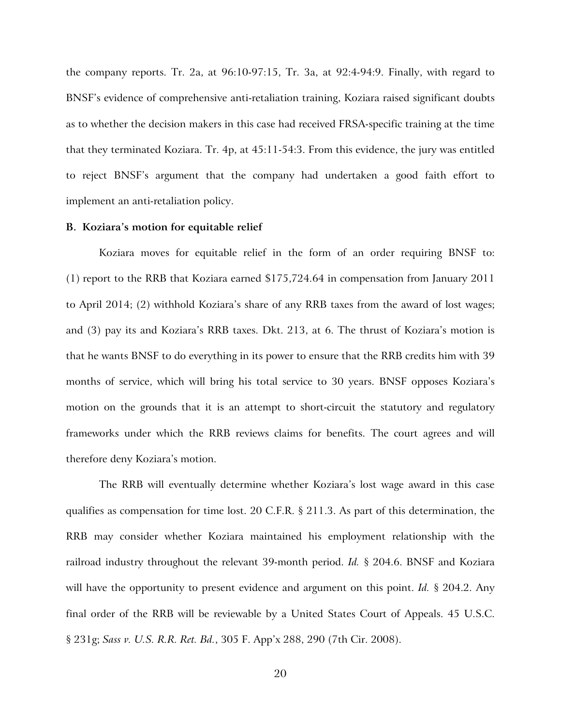the company reports. Tr. 2a, at 96:10-97:15, Tr. 3a, at 92:4-94:9. Finally, with regard to BNSF's evidence of comprehensive anti-retaliation training, Koziara raised significant doubts as to whether the decision makers in this case had received FRSA-specific training at the time that they terminated Koziara. Tr. 4p, at 45:11-54:3. From this evidence, the jury was entitled to reject BNSF's argument that the company had undertaken a good faith effort to implement an anti-retaliation policy.

#### **B. Koziara's motion for equitable relief**

Koziara moves for equitable relief in the form of an order requiring BNSF to: (1) report to the RRB that Koziara earned \$175,724.64 in compensation from January 2011 to April 2014; (2) withhold Koziara's share of any RRB taxes from the award of lost wages; and (3) pay its and Koziara's RRB taxes. Dkt. 213, at 6. The thrust of Koziara's motion is that he wants BNSF to do everything in its power to ensure that the RRB credits him with 39 months of service, which will bring his total service to 30 years. BNSF opposes Koziara's motion on the grounds that it is an attempt to short-circuit the statutory and regulatory frameworks under which the RRB reviews claims for benefits. The court agrees and will therefore deny Koziara's motion.

The RRB will eventually determine whether Koziara's lost wage award in this case qualifies as compensation for time lost. 20 C.F.R. § 211.3. As part of this determination, the RRB may consider whether Koziara maintained his employment relationship with the railroad industry throughout the relevant 39-month period. *Id.* § 204.6. BNSF and Koziara will have the opportunity to present evidence and argument on this point. *Id.* § 204.2. Any final order of the RRB will be reviewable by a United States Court of Appeals. 45 U.S.C. § 231g; *Sass v. U.S. R.R. Ret. Bd.*, 305 F. App'x 288, 290 (7th Cir. 2008).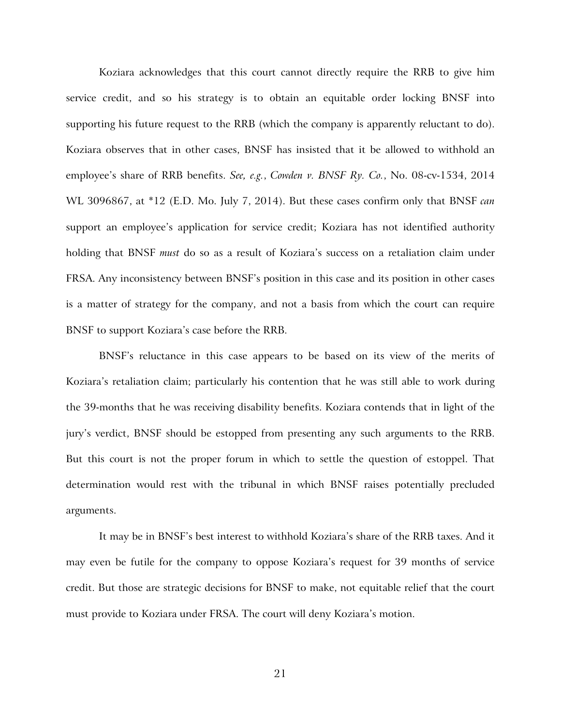Koziara acknowledges that this court cannot directly require the RRB to give him service credit, and so his strategy is to obtain an equitable order locking BNSF into supporting his future request to the RRB (which the company is apparently reluctant to do). Koziara observes that in other cases, BNSF has insisted that it be allowed to withhold an employee's share of RRB benefits. *See, e.g.*, *Cowden v. BNSF Ry. Co.*, No. 08-cv-1534, 2014 WL 3096867, at \*12 (E.D. Mo. July 7, 2014). But these cases confirm only that BNSF *can* support an employee's application for service credit; Koziara has not identified authority holding that BNSF *must* do so as a result of Koziara's success on a retaliation claim under FRSA. Any inconsistency between BNSF's position in this case and its position in other cases is a matter of strategy for the company, and not a basis from which the court can require BNSF to support Koziara's case before the RRB.

BNSF's reluctance in this case appears to be based on its view of the merits of Koziara's retaliation claim; particularly his contention that he was still able to work during the 39-months that he was receiving disability benefits. Koziara contends that in light of the jury's verdict, BNSF should be estopped from presenting any such arguments to the RRB. But this court is not the proper forum in which to settle the question of estoppel. That determination would rest with the tribunal in which BNSF raises potentially precluded arguments.

It may be in BNSF's best interest to withhold Koziara's share of the RRB taxes. And it may even be futile for the company to oppose Koziara's request for 39 months of service credit. But those are strategic decisions for BNSF to make, not equitable relief that the court must provide to Koziara under FRSA. The court will deny Koziara's motion.

21